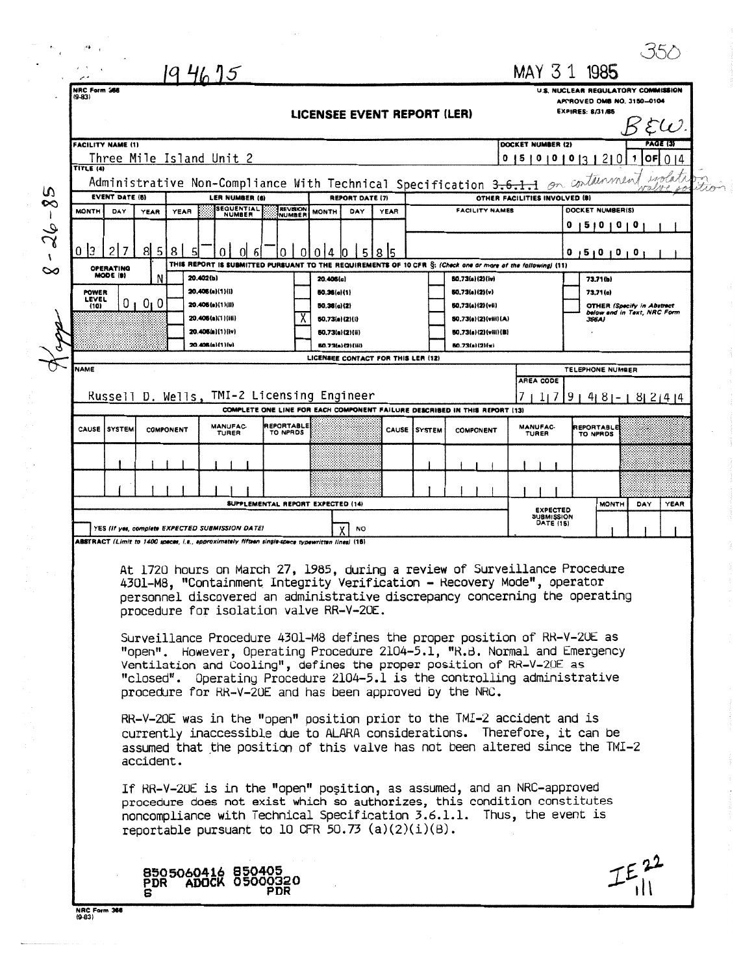|          | م الأ∻خ                                                                                                                                                                                                                         |                                                                                                  |                                         |                               |                                                                                                                                       |                      |  |                                              |                                                          |                                                       |                                                                  |          |  |  |
|----------|---------------------------------------------------------------------------------------------------------------------------------------------------------------------------------------------------------------------------------|--------------------------------------------------------------------------------------------------|-----------------------------------------|-------------------------------|---------------------------------------------------------------------------------------------------------------------------------------|----------------------|--|----------------------------------------------|----------------------------------------------------------|-------------------------------------------------------|------------------------------------------------------------------|----------|--|--|
|          |                                                                                                                                                                                                                                 |                                                                                                  | 1946.95                                 |                               |                                                                                                                                       |                      |  |                                              | MAY 31 1985                                              |                                                       |                                                                  |          |  |  |
|          | NRC Form 566<br>U.S. NUCLEAR REGULATORY COMMISSION<br>$(9-83)$                                                                                                                                                                  |                                                                                                  |                                         |                               |                                                                                                                                       |                      |  |                                              |                                                          |                                                       |                                                                  |          |  |  |
|          |                                                                                                                                                                                                                                 |                                                                                                  |                                         |                               |                                                                                                                                       |                      |  |                                              |                                                          | APPROVED OMB NO. 3150-0104<br><b>EXPIRES: 8/31/85</b> |                                                                  |          |  |  |
|          | LICENSEE EVENT REPORT (LER)                                                                                                                                                                                                     |                                                                                                  |                                         |                               |                                                                                                                                       |                      |  |                                              |                                                          |                                                       |                                                                  |          |  |  |
|          | <b>FACILITY NAME (1)</b><br>DOCKET NUMBER (2)                                                                                                                                                                                   |                                                                                                  |                                         |                               |                                                                                                                                       |                      |  |                                              |                                                          |                                                       |                                                                  | PAGE (3) |  |  |
|          | Three Mile Island Unit 2                                                                                                                                                                                                        |                                                                                                  |                                         | $\mathbf{1}$                  | $\overline{or}$ 0 14                                                                                                                  |                      |  |                                              |                                                          |                                                       |                                                                  |          |  |  |
|          | 0 5 0 0 0 3 2 0<br>TITLE (4)<br>wolata                                                                                                                                                                                          |                                                                                                  |                                         |                               |                                                                                                                                       |                      |  |                                              |                                                          |                                                       |                                                                  |          |  |  |
| w        | Administrative Non-Compliance With Technical Specification 3.6.1.1 on containment<br><b>EVENT DATE (6)</b><br><b>LER NUMBER (6)</b>                                                                                             |                                                                                                  |                                         |                               |                                                                                                                                       |                      |  |                                              |                                                          |                                                       |                                                                  |          |  |  |
| $\infty$ | OTHER FACILITIES INVOLVED (8)<br><b>REPORT DATE (7)</b><br><b>SEQUENTIAL</b><br><b>REVISION</b><br>DOCKET NUMBER(S)<br><b>MONTH</b><br>YEAR<br>YEAR<br>FACILITY NAMES<br>DAY<br><b>MONTH</b><br>DAY<br>YEAR<br>NUMBER<br>NUMBER |                                                                                                  |                                         |                               |                                                                                                                                       |                      |  |                                              |                                                          |                                                       |                                                                  |          |  |  |
|          |                                                                                                                                                                                                                                 |                                                                                                  |                                         |                               |                                                                                                                                       |                      |  |                                              |                                                          |                                                       | 0 1 2 1 0 1 0 1 0                                                |          |  |  |
| 26       |                                                                                                                                                                                                                                 |                                                                                                  |                                         |                               |                                                                                                                                       |                      |  |                                              |                                                          |                                                       |                                                                  |          |  |  |
| v        | $0$  3<br>$\overline{c}$<br>7                                                                                                                                                                                                   | 815<br>8                                                                                         | 6                                       | Ω                             | 01014<br>5 8 5<br>IO.<br>THIS REPORT IS SUBMITTED PURSUANT TO THE REQUIREMENTS OF 10 CFR §: (Check one or more of the fallowing) (11) |                      |  |                                              |                                                          |                                                       | 0 1 5 1 0 1 0 1 0 1                                              |          |  |  |
| ∞        | <b>OPERATING</b><br>MODE (9)                                                                                                                                                                                                    | N                                                                                                | 20.402(b)                               |                               | 20.406(c)                                                                                                                             |                      |  | 50.73(a)(2)(iv)                              |                                                          | 73.71(b)                                              |                                                                  |          |  |  |
|          | <b>POWER</b><br>LEVEL                                                                                                                                                                                                           |                                                                                                  | 20.406(a)(1)(i)                         |                               | 50.36(c)(1)                                                                                                                           |                      |  | 50,73(a)(2)(v)                               |                                                          | 73.71(c)                                              |                                                                  |          |  |  |
|          | (10)                                                                                                                                                                                                                            | $01$ $01$ $0$                                                                                    | 20.406(a)(1)(ii)                        |                               | 50.36(c)(2)                                                                                                                           |                      |  | 50.73(a)(2)(vii)                             |                                                          |                                                       | <b>OTHER (Specify in Abstract</b><br>below and in Text, NRC Form |          |  |  |
|          |                                                                                                                                                                                                                                 |                                                                                                  | 20.406(a)(1)(iii)<br>20.406(a)(1)(iv)   |                               | 50.73(a)(2)(i)<br>60.73(a)(2)(ii)                                                                                                     |                      |  | 50.73(a)(2)(viii)(A)<br>50,73(a)(2)(vili)(B) |                                                          | 366A)                                                 |                                                                  |          |  |  |
|          |                                                                                                                                                                                                                                 |                                                                                                  | 20.406(a)(1)(v)                         |                               | 80.73(a)(2)(iii)                                                                                                                      |                      |  | 50.73(a)(2)(x)                               |                                                          |                                                       |                                                                  |          |  |  |
|          | NAME                                                                                                                                                                                                                            |                                                                                                  |                                         |                               | LICENSEE CONTACT FOR THIS LER (12)                                                                                                    |                      |  |                                              |                                                          |                                                       |                                                                  |          |  |  |
|          |                                                                                                                                                                                                                                 |                                                                                                  |                                         |                               |                                                                                                                                       |                      |  |                                              | AREA CODE                                                | TELEPHONE NUMBER                                      |                                                                  |          |  |  |
|          |                                                                                                                                                                                                                                 |                                                                                                  |                                         |                               | Russell D. Wells, TMI-2 Licensing Engineer                                                                                            |                      |  |                                              | 117                                                      |                                                       | $9   4   8   -   8   2   4   4$                                  |          |  |  |
|          |                                                                                                                                                                                                                                 |                                                                                                  |                                         |                               | COMPLETE ONE LINE FOR EACH COMPONENT FAILURE DESCRIBED IN THIS REPORT (13)                                                            |                      |  |                                              |                                                          |                                                       |                                                                  |          |  |  |
|          | CAUSE<br>i system                                                                                                                                                                                                               | <b>COMPONENT</b>                                                                                 | <b>MANUFAC</b><br>TURER                 | <b>REPORTABLE</b><br>TO NPRDS |                                                                                                                                       | <b>CAUSE ISYSTEM</b> |  | <b>COMPONENT</b>                             | <b>MANUFAC-</b><br>TURER                                 | REPORTABLE<br>TO NPROS                                |                                                                  |          |  |  |
|          |                                                                                                                                                                                                                                 |                                                                                                  |                                         |                               |                                                                                                                                       |                      |  |                                              |                                                          |                                                       |                                                                  |          |  |  |
|          |                                                                                                                                                                                                                                 |                                                                                                  |                                         |                               |                                                                                                                                       |                      |  |                                              |                                                          |                                                       |                                                                  |          |  |  |
|          |                                                                                                                                                                                                                                 |                                                                                                  |                                         |                               | SUPPLEMENTAL REPORT EXPECTED (14)                                                                                                     |                      |  |                                              |                                                          |                                                       | <b>MONTH</b><br>DAY                                              | YEAR     |  |  |
|          |                                                                                                                                                                                                                                 |                                                                                                  |                                         |                               |                                                                                                                                       |                      |  |                                              | <b>EXPECTED</b><br><b>SUBMISSION</b><br><b>DATE (15)</b> |                                                       |                                                                  |          |  |  |
|          |                                                                                                                                                                                                                                 | YES (If yes, complete EXPECTED SUBMISSION DATE)                                                  |                                         |                               | <b>NO</b>                                                                                                                             |                      |  |                                              |                                                          |                                                       |                                                                  |          |  |  |
|          |                                                                                                                                                                                                                                 | ABSTRACT (Limit to 1400 spaces, i.e., approximately fifteen single-space typewritten lines) (16) |                                         |                               |                                                                                                                                       |                      |  |                                              |                                                          |                                                       |                                                                  |          |  |  |
|          |                                                                                                                                                                                                                                 |                                                                                                  |                                         |                               | At 1720 hours on March 27, 1985, during a review of Surveillance Procedure                                                            |                      |  |                                              |                                                          |                                                       |                                                                  |          |  |  |
|          |                                                                                                                                                                                                                                 |                                                                                                  |                                         |                               | 4301-M8, "Containment Integrity Verification - Recovery Mode", operator                                                               |                      |  |                                              |                                                          |                                                       |                                                                  |          |  |  |
|          |                                                                                                                                                                                                                                 |                                                                                                  |                                         |                               | personnel discovered an administrative discrepancy concerning the operating<br>procedure for isolation valve RR-V-20E.                |                      |  |                                              |                                                          |                                                       |                                                                  |          |  |  |
|          |                                                                                                                                                                                                                                 |                                                                                                  |                                         |                               |                                                                                                                                       |                      |  |                                              |                                                          |                                                       |                                                                  |          |  |  |
|          |                                                                                                                                                                                                                                 |                                                                                                  |                                         |                               | Surveillance Procedure 4301-M8 defines the proper position of RR-V-20E as                                                             |                      |  |                                              |                                                          |                                                       |                                                                  |          |  |  |
|          |                                                                                                                                                                                                                                 |                                                                                                  |                                         |                               | "open". However, Operating Procedure 2104-5.1, "R.B. Normal and Emergency                                                             |                      |  |                                              |                                                          |                                                       |                                                                  |          |  |  |
|          | Ventilation and Cooling", defines the proper position of RR-V-20E as                                                                                                                                                            |                                                                                                  |                                         |                               |                                                                                                                                       |                      |  |                                              |                                                          |                                                       |                                                                  |          |  |  |
|          | "closed". Operating Procedure 2104-5.1 is the controlling administrative<br>procedure for RR-V-20E and has been approved by the NRC.                                                                                            |                                                                                                  |                                         |                               |                                                                                                                                       |                      |  |                                              |                                                          |                                                       |                                                                  |          |  |  |
|          |                                                                                                                                                                                                                                 |                                                                                                  |                                         |                               |                                                                                                                                       |                      |  |                                              |                                                          |                                                       |                                                                  |          |  |  |
|          |                                                                                                                                                                                                                                 |                                                                                                  |                                         |                               | RR-V-20E was in the "open" position prior to the TMI-2 accident and is                                                                |                      |  |                                              |                                                          |                                                       |                                                                  |          |  |  |
|          | currently inaccessible due to ALARA considerations. Therefore, it can be<br>assumed that the position of this valve has not been altered since the TMI-2                                                                        |                                                                                                  |                                         |                               |                                                                                                                                       |                      |  |                                              |                                                          |                                                       |                                                                  |          |  |  |
|          |                                                                                                                                                                                                                                 | accident.                                                                                        |                                         |                               |                                                                                                                                       |                      |  |                                              |                                                          |                                                       |                                                                  |          |  |  |
|          |                                                                                                                                                                                                                                 |                                                                                                  |                                         |                               |                                                                                                                                       |                      |  |                                              |                                                          |                                                       |                                                                  |          |  |  |
|          | If RR-V-20E is in the "open" position, as assumed, and an NRC-approved                                                                                                                                                          |                                                                                                  |                                         |                               |                                                                                                                                       |                      |  |                                              |                                                          |                                                       |                                                                  |          |  |  |
|          | procedure does not exist which so authorizes, this condition constitutes<br>noncompliance with Technical Specification 3.6.1.1. Thus, the event is                                                                              |                                                                                                  |                                         |                               |                                                                                                                                       |                      |  |                                              |                                                          |                                                       |                                                                  |          |  |  |
|          |                                                                                                                                                                                                                                 |                                                                                                  |                                         |                               | reportable pursuant to 10 CFR 50.73 $(a)(2)(i)(B)$ .                                                                                  |                      |  |                                              |                                                          |                                                       |                                                                  |          |  |  |
|          |                                                                                                                                                                                                                                 |                                                                                                  |                                         |                               |                                                                                                                                       |                      |  |                                              |                                                          |                                                       |                                                                  |          |  |  |
|          |                                                                                                                                                                                                                                 |                                                                                                  |                                         |                               |                                                                                                                                       |                      |  |                                              |                                                          |                                                       |                                                                  |          |  |  |
|          |                                                                                                                                                                                                                                 |                                                                                                  | 8505060416 850405<br>PDR ADOCK 05000320 |                               |                                                                                                                                       |                      |  |                                              |                                                          |                                                       |                                                                  |          |  |  |
|          |                                                                                                                                                                                                                                 |                                                                                                  |                                         | PDR                           |                                                                                                                                       |                      |  |                                              |                                                          |                                                       |                                                                  |          |  |  |
|          | NRC Form 368<br>$(9-83)$                                                                                                                                                                                                        |                                                                                                  |                                         |                               |                                                                                                                                       |                      |  |                                              |                                                          |                                                       |                                                                  |          |  |  |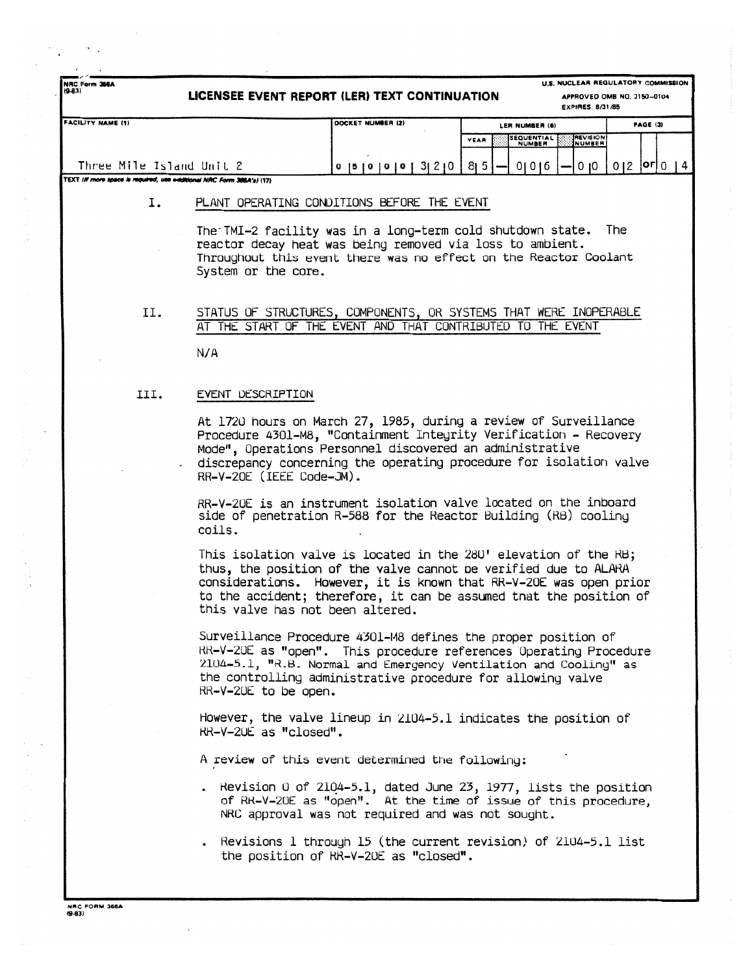| $(9-8.3)$                                                                                         |                                                                                                                                                                                                                                                                                                     | LICENSEE EVENT REPORT (LER) TEXT CONTINUATION     | EXPIRES: 8/31/85                                                                                                                                                                                                                                                                 | APPROVED OMB NO. 3150-0104 |  |  |  |  |  |  |  |  |  |
|---------------------------------------------------------------------------------------------------|-----------------------------------------------------------------------------------------------------------------------------------------------------------------------------------------------------------------------------------------------------------------------------------------------------|---------------------------------------------------|----------------------------------------------------------------------------------------------------------------------------------------------------------------------------------------------------------------------------------------------------------------------------------|----------------------------|--|--|--|--|--|--|--|--|--|
| <b>FACILITY NAME (1)</b>                                                                          |                                                                                                                                                                                                                                                                                                     | DOCKET NUMBER (2)                                 | LER NUMBER (6)                                                                                                                                                                                                                                                                   | PAGE (3)                   |  |  |  |  |  |  |  |  |  |
|                                                                                                   |                                                                                                                                                                                                                                                                                                     |                                                   | REVISION<br>SEQUENTIAL<br>NUMBER<br>YEAR<br>NUMBER                                                                                                                                                                                                                               |                            |  |  |  |  |  |  |  |  |  |
| Three Mile Island Unit 2<br>TEXT (If more space is required, use additional NRC Form 366A's) (17) |                                                                                                                                                                                                                                                                                                     | 0   5   0   0   0   0   3   2   0   8   5         | 0 0 6<br>0 <sub>10</sub>                                                                                                                                                                                                                                                         | $012$   OF  $014$          |  |  |  |  |  |  |  |  |  |
|                                                                                                   |                                                                                                                                                                                                                                                                                                     | PLANT OPERATING CONDITIONS BEFORE THE EVENT       |                                                                                                                                                                                                                                                                                  |                            |  |  |  |  |  |  |  |  |  |
| Ι.                                                                                                |                                                                                                                                                                                                                                                                                                     |                                                   |                                                                                                                                                                                                                                                                                  |                            |  |  |  |  |  |  |  |  |  |
|                                                                                                   | The TMI-2 facility was in a long-term cold shutdown state. The<br>reactor decay heat was being removed via loss to ambient.<br>Throughout this event there was no effect on the Reactor Coolant<br>System or the core.                                                                              |                                                   |                                                                                                                                                                                                                                                                                  |                            |  |  |  |  |  |  |  |  |  |
| II.                                                                                               |                                                                                                                                                                                                                                                                                                     |                                                   | STATUS OF STRUCTURES, COMPONENTS, OR SYSTEMS THAT WERE INOPERABLE<br>AT THE START OF THE EVENT AND THAT CONTRIBUTED TO THE EVENT                                                                                                                                                 |                            |  |  |  |  |  |  |  |  |  |
|                                                                                                   | N/A                                                                                                                                                                                                                                                                                                 |                                                   |                                                                                                                                                                                                                                                                                  |                            |  |  |  |  |  |  |  |  |  |
| III.                                                                                              | EVENT DESCRIPTION                                                                                                                                                                                                                                                                                   |                                                   |                                                                                                                                                                                                                                                                                  |                            |  |  |  |  |  |  |  |  |  |
|                                                                                                   | At 1720 hours on March 27, 1985, during a review of Surveillance<br>Procedure 4301-M8, "Containment Integrity Verification - Recovery<br>Mode", Operations Personnel discovered an administrative<br>discrepancy concerning the operating procedure for isolation valve<br>RR-V-20E (IEEE Code-JM). |                                                   |                                                                                                                                                                                                                                                                                  |                            |  |  |  |  |  |  |  |  |  |
|                                                                                                   | coils.                                                                                                                                                                                                                                                                                              |                                                   | RR-V-20E is an instrument isolation valve located on the inboard<br>side of penetration R-588 for the Reactor Building (RB) cooling                                                                                                                                              |                            |  |  |  |  |  |  |  |  |  |
|                                                                                                   |                                                                                                                                                                                                                                                                                                     | this valve has not been altered.                  | This isolation valve is located in the $280'$ elevation of the RB;<br>thus, the position of the valve cannot be verified due to ALARA<br>considerations. However, it is known that RR-V-20E was open prior<br>to the accident; therefore, it can be assumed that the position of |                            |  |  |  |  |  |  |  |  |  |
|                                                                                                   | RR-V-20E to be open.                                                                                                                                                                                                                                                                                |                                                   | Surveillance Procedure 4301-M8 defines the proper position of<br>RR-V-20E as "open". This procedure references Operating Procedure<br>2104-5.1, "R.B. Normal and Emergency Ventilation and Cooling" as<br>the controlling administrative procedure for allowing valve            |                            |  |  |  |  |  |  |  |  |  |
|                                                                                                   | RR-V-20E as "closed".                                                                                                                                                                                                                                                                               |                                                   | However, the valve lineup in 2104-5.1 indicates the position of                                                                                                                                                                                                                  |                            |  |  |  |  |  |  |  |  |  |
|                                                                                                   |                                                                                                                                                                                                                                                                                                     | A review of this event determined the following:  |                                                                                                                                                                                                                                                                                  |                            |  |  |  |  |  |  |  |  |  |
|                                                                                                   |                                                                                                                                                                                                                                                                                                     | NRC approval was not required and was not sought. | . Revision 0 of $2104-5.1$ , dated June 23, 1977, lists the position<br>of RR-V-20E as "open". At the time of issue of this procedure,                                                                                                                                           |                            |  |  |  |  |  |  |  |  |  |
|                                                                                                   |                                                                                                                                                                                                                                                                                                     | the position of RR-V-20E as "closed".             | . Revisions $1$ through 15 (the current revision) of $2104-5.1$ list                                                                                                                                                                                                             |                            |  |  |  |  |  |  |  |  |  |

J.

医单元 医血管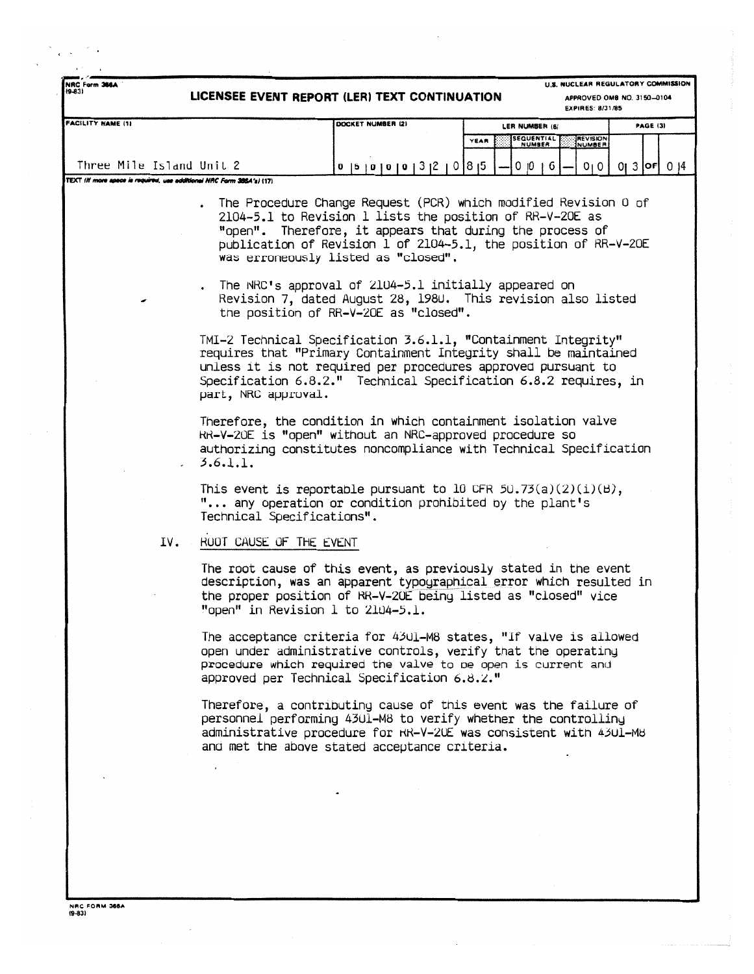| NRC Form 366A<br>$(9-83)$                                             | LICENSEE EVENT REPORT (LER) TEXT CONTINUATION                                                                                                                                                                                                                                                  | U.S. NUCLEAR REGULATORY COMMISSION<br>APPROVED OMB NO. 3150-0104<br>EXPIRES: 8/31/85                                                                                                                                                                                                                                                                      |                              |                               |                   |  |
|-----------------------------------------------------------------------|------------------------------------------------------------------------------------------------------------------------------------------------------------------------------------------------------------------------------------------------------------------------------------------------|-----------------------------------------------------------------------------------------------------------------------------------------------------------------------------------------------------------------------------------------------------------------------------------------------------------------------------------------------------------|------------------------------|-------------------------------|-------------------|--|
| <b>FACILITY NAME (1)</b>                                              |                                                                                                                                                                                                                                                                                                | DOCKET NUMBER (2)                                                                                                                                                                                                                                                                                                                                         | LER NUMBER (6)               |                               | <b>PAGE (3)</b>   |  |
|                                                                       |                                                                                                                                                                                                                                                                                                |                                                                                                                                                                                                                                                                                                                                                           | SEQUENTIAL<br>NUMBER<br>YEAR | <b>REVISION</b><br>NUMBER     |                   |  |
| Three Mile Island Unit 2                                              |                                                                                                                                                                                                                                                                                                |                                                                                                                                                                                                                                                                                                                                                           | 0  0  6                      |                               | $013$   OF $1014$ |  |
| TEXT (If more apace is required, use additional NRC Form 386A's) (17) |                                                                                                                                                                                                                                                                                                | 0   5   0   0   0   0   0   3   2   0   8   5                                                                                                                                                                                                                                                                                                             |                              | 0 <sub>1</sub> 0 <sub>1</sub> |                   |  |
|                                                                       |                                                                                                                                                                                                                                                                                                | The Procedure Change Request (PCR) which modified Revision 0 of<br>2104-5.1 to Revision 1 lists the position of RR-V-20E as<br>"open". Therefore, it appears that during the process of<br>publication of Revision 1 of 2104-5.1, the position of RR-V-20E<br>was erroneously listed as "closed".<br>The NRC's approval of 2104-5.1 initially appeared on |                              |                               |                   |  |
|                                                                       |                                                                                                                                                                                                                                                                                                | Revision 7, dated August 28, 1980. This revision also listed<br>the position of RR-V-20E as "closed".                                                                                                                                                                                                                                                     |                              |                               |                   |  |
|                                                                       | TMI-2 Technical Specification 3.6.1.1, "Containment Integrity"<br>requires that "Primary Containment Integrity shall be maintained<br>unless it is not required per procedures approved pursuant to<br>Specification 6.8.2." Technical Specification 6.8.2 requires, in<br>part, NRC approval. |                                                                                                                                                                                                                                                                                                                                                           |                              |                               |                   |  |
|                                                                       | Therefore, the condition in which containment isolation valve<br>RR-V-20E is "open" without an NRC-approved procedure so<br>authorizing constitutes noncompliance with Technical Specification<br>3.6.1.1.                                                                                     |                                                                                                                                                                                                                                                                                                                                                           |                              |                               |                   |  |
|                                                                       | This event is reportable pursuant to 10 CFR $50.73(a)(2)(i)(B)$ ,<br>" any operation or condition prohibited by the plant's<br>Technical Specifications".                                                                                                                                      |                                                                                                                                                                                                                                                                                                                                                           |                              |                               |                   |  |
| IV.                                                                   | ROOT CAUSE OF THE EVENT                                                                                                                                                                                                                                                                        |                                                                                                                                                                                                                                                                                                                                                           |                              |                               |                   |  |
|                                                                       | The root cause of this event, as previously stated in the event<br>description, was an apparent typographical error which resulted in<br>the proper position of RR-V-20E being listed as "closed" vice<br>"open" in Revision 1 to 2104-5.1.                                                    |                                                                                                                                                                                                                                                                                                                                                           |                              |                               |                   |  |
|                                                                       | The acceptance criteria for 4301-M8 states, "If valve is allowed<br>open under administrative controls, verify that the operating<br>procedure which required the valve to be open is current and<br>approved per Technical Specification 6.8.2."                                              |                                                                                                                                                                                                                                                                                                                                                           |                              |                               |                   |  |
|                                                                       | Therefore, a contributing cause of this event was the failure of<br>personnel performing 4301-M8 to verify whether the controlling<br>administrative procedure for RR-V-20E was consistent with 4301-M8<br>and met the above stated acceptance criteria.                                       |                                                                                                                                                                                                                                                                                                                                                           |                              |                               |                   |  |
|                                                                       | $\overline{a}$                                                                                                                                                                                                                                                                                 |                                                                                                                                                                                                                                                                                                                                                           |                              |                               |                   |  |
|                                                                       |                                                                                                                                                                                                                                                                                                |                                                                                                                                                                                                                                                                                                                                                           |                              |                               |                   |  |
|                                                                       |                                                                                                                                                                                                                                                                                                |                                                                                                                                                                                                                                                                                                                                                           |                              |                               |                   |  |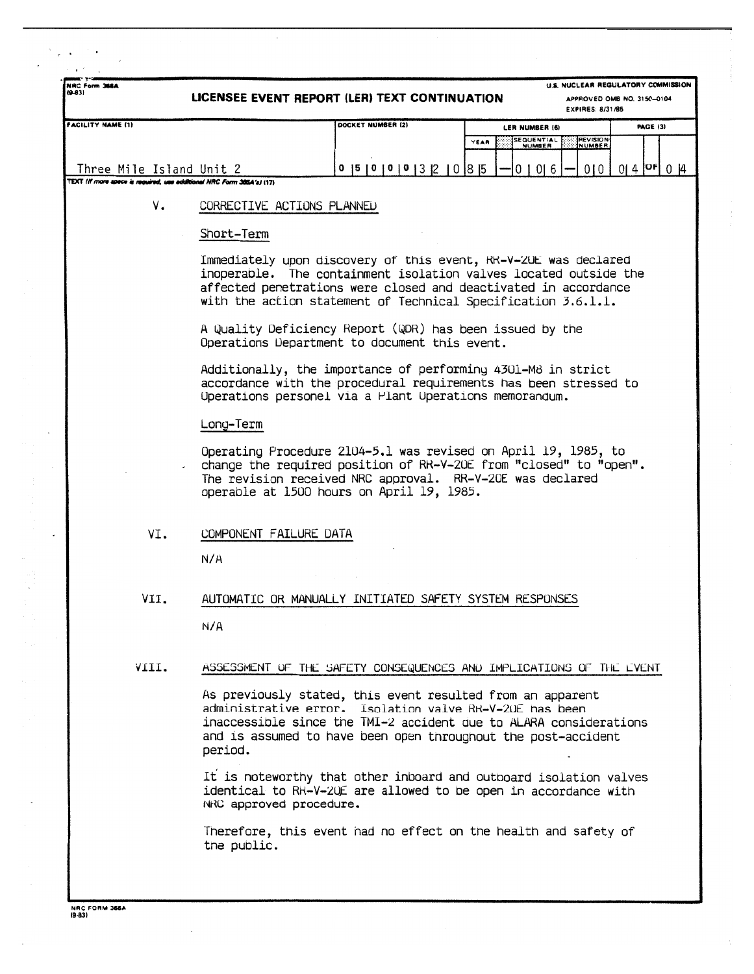| NRC Form 366A<br>$(9 - 83)$                                                                       |      | LICENSEE EVENT REPORT (LER) TEXT CONTINUATION                                                                                                                                                                                                                           |                                                                                                                                                                                            |                                                                     |                                       |  |      |  |                      |  | U.S. NUCLEAR REGULATORY COMMISSION<br>APPROVED OMB NO. 3150-0104<br><b>EXPIRES: 8/31/85</b> |  |                 |                      |
|---------------------------------------------------------------------------------------------------|------|-------------------------------------------------------------------------------------------------------------------------------------------------------------------------------------------------------------------------------------------------------------------------|--------------------------------------------------------------------------------------------------------------------------------------------------------------------------------------------|---------------------------------------------------------------------|---------------------------------------|--|------|--|----------------------|--|---------------------------------------------------------------------------------------------|--|-----------------|----------------------|
| <b>FACILITY NAME (1)</b>                                                                          |      |                                                                                                                                                                                                                                                                         |                                                                                                                                                                                            | DOCKET NUMBER (2)                                                   |                                       |  |      |  | LER NUMBER (6)       |  |                                                                                             |  | <b>PAGE (3)</b> |                      |
|                                                                                                   |      |                                                                                                                                                                                                                                                                         |                                                                                                                                                                                            |                                                                     |                                       |  | YEAR |  | SEQUENTIAL<br>NUMBER |  | <b>REVISION</b><br>NUMBER                                                                   |  |                 |                      |
|                                                                                                   |      |                                                                                                                                                                                                                                                                         |                                                                                                                                                                                            |                                                                     |                                       |  |      |  |                      |  |                                                                                             |  |                 |                      |
| Three Mile Island Unit 2<br>TEXT (If more space is required, use additional NRC Form 385A's) (17) |      |                                                                                                                                                                                                                                                                         |                                                                                                                                                                                            |                                                                     | 0   5   0   0   0   3   2   0   8   5 |  |      |  | 01016                |  | 0101                                                                                        |  |                 | $0   4  $ OF $0   4$ |
|                                                                                                   | ۷.   | CORRECTIVE ACTIONS PLANNED                                                                                                                                                                                                                                              |                                                                                                                                                                                            |                                                                     |                                       |  |      |  |                      |  |                                                                                             |  |                 |                      |
|                                                                                                   |      | Short-Term                                                                                                                                                                                                                                                              |                                                                                                                                                                                            |                                                                     |                                       |  |      |  |                      |  |                                                                                             |  |                 |                      |
|                                                                                                   |      | Immediately upon discovery of this event, RR-V-20E was declared<br>inoperable. The containment isolation valves located outside the<br>affected penetrations were closed and deactivated in accordance<br>with the action statement of Technical Specification 3.6.1.1. |                                                                                                                                                                                            |                                                                     |                                       |  |      |  |                      |  |                                                                                             |  |                 |                      |
|                                                                                                   |      | A Quality Deficiency Report (QDR) has been issued by the<br>Operations Department to document this event.                                                                                                                                                               |                                                                                                                                                                                            |                                                                     |                                       |  |      |  |                      |  |                                                                                             |  |                 |                      |
|                                                                                                   |      |                                                                                                                                                                                                                                                                         | Additionally, the importance of performing 4301-M8 in strict<br>accordance with the procedural requirements has been stressed to<br>Uperations personel via a Plant Uperations memorandum. |                                                                     |                                       |  |      |  |                      |  |                                                                                             |  |                 |                      |
|                                                                                                   |      | Long-Term                                                                                                                                                                                                                                                               |                                                                                                                                                                                            |                                                                     |                                       |  |      |  |                      |  |                                                                                             |  |                 |                      |
|                                                                                                   |      | Operating Procedure 2104-5.1 was revised on April 19, 1985, to<br>change the required position of RR-V-20E from "closed" to "open".<br>The revision received NRC approval. RR-V-20E was declared<br>operable at 1500 hours on April 19, 1985.                           |                                                                                                                                                                                            |                                                                     |                                       |  |      |  |                      |  |                                                                                             |  |                 |                      |
|                                                                                                   | VI.  | COMPONENT FAILURE DATA                                                                                                                                                                                                                                                  |                                                                                                                                                                                            |                                                                     |                                       |  |      |  |                      |  |                                                                                             |  |                 |                      |
|                                                                                                   |      | N/A                                                                                                                                                                                                                                                                     |                                                                                                                                                                                            |                                                                     |                                       |  |      |  |                      |  |                                                                                             |  |                 |                      |
|                                                                                                   | VII. | AUTOMATIC OR MANUALLY INITIATED SAFETY SYSTEM RESPONSES                                                                                                                                                                                                                 |                                                                                                                                                                                            |                                                                     |                                       |  |      |  |                      |  |                                                                                             |  |                 |                      |
|                                                                                                   |      | N/A                                                                                                                                                                                                                                                                     |                                                                                                                                                                                            |                                                                     |                                       |  |      |  |                      |  |                                                                                             |  |                 |                      |
| VIII.                                                                                             |      |                                                                                                                                                                                                                                                                         |                                                                                                                                                                                            | ASSESSMENT OF THE SAFETY CONSEQUENCES AND IMPLICATIONS OF THE LYENT |                                       |  |      |  |                      |  |                                                                                             |  |                 |                      |
|                                                                                                   |      | As previously stated, this event resulted from an apparent<br>administrative error. Isolation valve RR-V-20E has been<br>inaccessible since the TMI-2 accident due to ALARA considerations<br>and is assumed to have been open throughout the post-accident<br>period.  |                                                                                                                                                                                            |                                                                     |                                       |  |      |  |                      |  |                                                                                             |  |                 |                      |
|                                                                                                   |      | It is noteworthy that other inboard and outboard isolation valves<br>identical to RK-V-20E are allowed to be open in accordance with<br>NRC approved procedure.                                                                                                         |                                                                                                                                                                                            |                                                                     |                                       |  |      |  |                      |  |                                                                                             |  |                 |                      |
|                                                                                                   |      | Therefore, this event had no effect on the health and safety of<br>the public.                                                                                                                                                                                          |                                                                                                                                                                                            |                                                                     |                                       |  |      |  |                      |  |                                                                                             |  |                 |                      |
|                                                                                                   |      |                                                                                                                                                                                                                                                                         |                                                                                                                                                                                            |                                                                     |                                       |  |      |  |                      |  |                                                                                             |  |                 |                      |

**NRC FORM 366 A 19631**